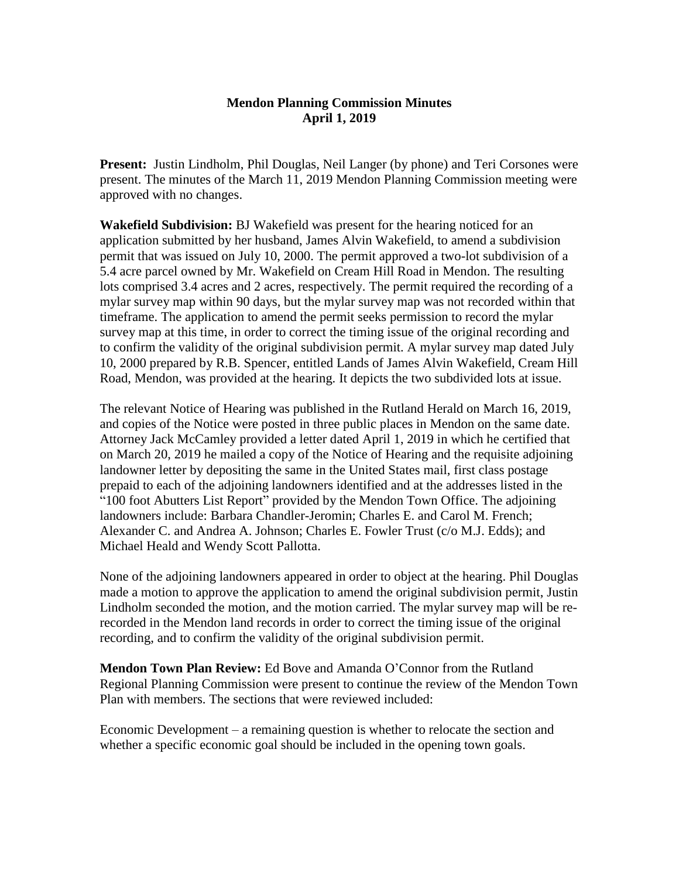## **Mendon Planning Commission Minutes April 1, 2019**

**Present:** Justin Lindholm, Phil Douglas, Neil Langer (by phone) and Teri Corsones were present. The minutes of the March 11, 2019 Mendon Planning Commission meeting were approved with no changes.

**Wakefield Subdivision:** BJ Wakefield was present for the hearing noticed for an application submitted by her husband, James Alvin Wakefield, to amend a subdivision permit that was issued on July 10, 2000. The permit approved a two-lot subdivision of a 5.4 acre parcel owned by Mr. Wakefield on Cream Hill Road in Mendon. The resulting lots comprised 3.4 acres and 2 acres, respectively. The permit required the recording of a mylar survey map within 90 days, but the mylar survey map was not recorded within that timeframe. The application to amend the permit seeks permission to record the mylar survey map at this time, in order to correct the timing issue of the original recording and to confirm the validity of the original subdivision permit. A mylar survey map dated July 10, 2000 prepared by R.B. Spencer, entitled Lands of James Alvin Wakefield, Cream Hill Road, Mendon, was provided at the hearing. It depicts the two subdivided lots at issue.

The relevant Notice of Hearing was published in the Rutland Herald on March 16, 2019, and copies of the Notice were posted in three public places in Mendon on the same date. Attorney Jack McCamley provided a letter dated April 1, 2019 in which he certified that on March 20, 2019 he mailed a copy of the Notice of Hearing and the requisite adjoining landowner letter by depositing the same in the United States mail, first class postage prepaid to each of the adjoining landowners identified and at the addresses listed in the "100 foot Abutters List Report" provided by the Mendon Town Office. The adjoining landowners include: Barbara Chandler-Jeromin; Charles E. and Carol M. French; Alexander C. and Andrea A. Johnson; Charles E. Fowler Trust (c/o M.J. Edds); and Michael Heald and Wendy Scott Pallotta.

None of the adjoining landowners appeared in order to object at the hearing. Phil Douglas made a motion to approve the application to amend the original subdivision permit, Justin Lindholm seconded the motion, and the motion carried. The mylar survey map will be rerecorded in the Mendon land records in order to correct the timing issue of the original recording, and to confirm the validity of the original subdivision permit.

**Mendon Town Plan Review:** Ed Bove and Amanda O'Connor from the Rutland Regional Planning Commission were present to continue the review of the Mendon Town Plan with members. The sections that were reviewed included:

Economic Development – a remaining question is whether to relocate the section and whether a specific economic goal should be included in the opening town goals.